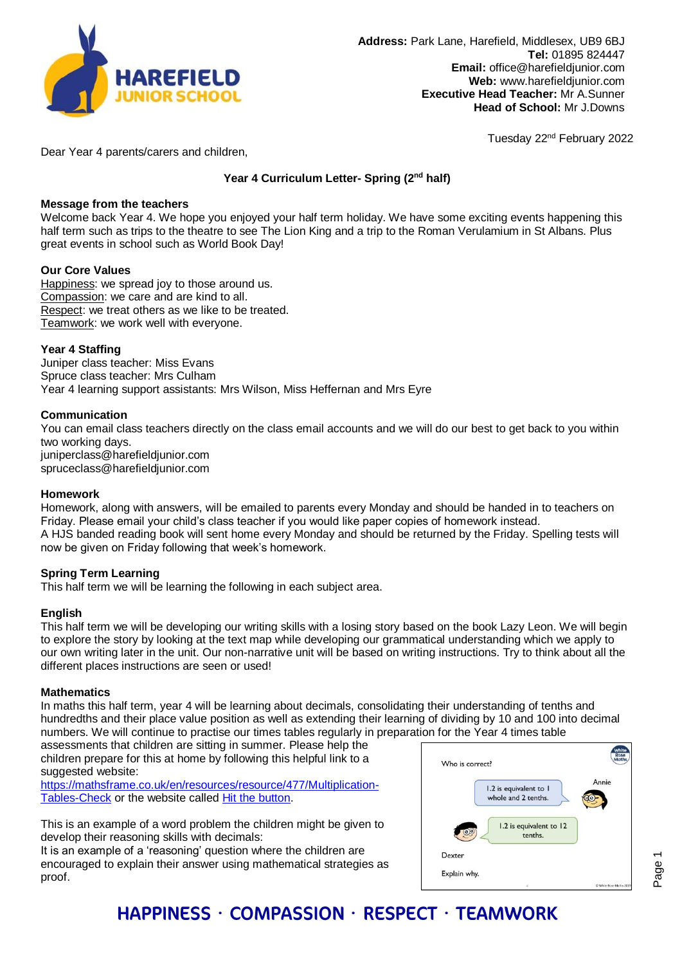

Tuesday 22nd February 2022

Dear Year 4 parents/carers and children,

## **Year 4 Curriculum Letter- Spring (2nd half)**

### **Message from the teachers**

Welcome back Year 4. We hope you enjoyed your half term holiday. We have some exciting events happening this half term such as trips to the theatre to see The Lion King and a trip to the Roman Verulamium in St Albans. Plus great events in school such as World Book Day!

### **Our Core Values**

Happiness: we spread joy to those around us. Compassion: we care and are kind to all. Respect: we treat others as we like to be treated. Teamwork: we work well with everyone.

### **Year 4 Staffing**

Juniper class teacher: Miss Evans Spruce class teacher: Mrs Culham Year 4 learning support assistants: Mrs Wilson, Miss Heffernan and Mrs Eyre

### **Communication**

You can email class teachers directly on the class email accounts and we will do our best to get back to you within two working days. juniperclass@harefieldjunior.com spruceclass@harefieldjunior.com

### **Homework**

Homework, along with answers, will be emailed to parents every Monday and should be handed in to teachers on Friday. Please email your child's class teacher if you would like paper copies of homework instead. A HJS banded reading book will sent home every Monday and should be returned by the Friday. Spelling tests will now be given on Friday following that week's homework.

### **Spring Term Learning**

This half term we will be learning the following in each subject area.

### **English**

This half term we will be developing our writing skills with a losing story based on the book Lazy Leon. We will begin to explore the story by looking at the text map while developing our grammatical understanding which we apply to our own writing later in the unit. Our non-narrative unit will be based on writing instructions. Try to think about all the different places instructions are seen or used!

### **Mathematics**

In maths this half term, year 4 will be learning about decimals, consolidating their understanding of tenths and hundredths and their place value position as well as extending their learning of dividing by 10 and 100 into decimal numbers. We will continue to practise our times tables regularly in preparation for the Year 4 times table

assessments that children are sitting in summer. Please help the children prepare for this at home by following this helpful link to a suggested website:

[https://mathsframe.co.uk/en/resources/resource/477/Multiplication-](https://mathsframe.co.uk/en/resources/resource/477/Multiplication-Tables-Check)[Tables-Check](https://mathsframe.co.uk/en/resources/resource/477/Multiplication-Tables-Check) or the website called [Hit the button.](https://www.topmarks.co.uk/maths-games/hit-the-button)

This is an example of a word problem the children might be given to develop their reasoning skills with decimals:

It is an example of a 'reasoning' question where the children are encouraged to explain their answer using mathematical strategies as proof.



# HAPPINESS · COMPASSION · RESPECT · TEAMWORK